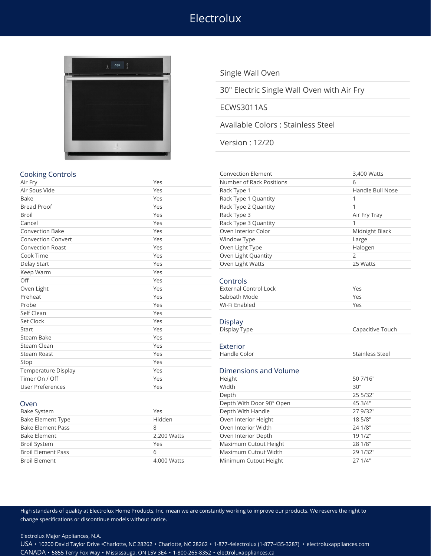# Electrolux



Single Wall Oven

30" Electric Single Wall Oven with Air Fry

#### ECWS3011AS

### Available Colors : Stainless Steel

Version : 12/20

| <b>Cooking Controls</b>    |     | <b>Convection Element</b>    | 3,400 Watts            |
|----------------------------|-----|------------------------------|------------------------|
| Air Fry                    | Yes | Number of Rack Positions     | 6                      |
| Air Sous Vide              | Yes | Rack Type 1                  | Handle Bull Nose       |
| <b>Bake</b>                | Yes | Rack Type 1 Quantity         | 1                      |
| <b>Bread Proof</b>         | Yes | Rack Type 2 Quantity         | 1                      |
| <b>Broil</b>               | Yes | Rack Type 3                  | Air Fry Tray           |
| Cancel                     | Yes | Rack Type 3 Quantity         | 1                      |
| <b>Convection Bake</b>     | Yes | Oven Interior Color          | Midnight Black         |
| <b>Convection Convert</b>  | Yes | Window Type                  | Large                  |
| <b>Convection Roast</b>    | Yes | Oven Light Type              | Halogen                |
| Cook Time                  | Yes | Oven Light Quantity          | $\overline{2}$         |
| Delay Start                | Yes | Oven Light Watts             | 25 Watts               |
| Keep Warm                  | Yes |                              |                        |
| Off                        | Yes | Controls                     |                        |
| Oven Light                 | Yes | <b>External Control Lock</b> | Yes                    |
| Preheat                    | Yes | Sabbath Mode                 | Yes                    |
| Probe                      | Yes | Wi-Fi Enabled                | Yes                    |
| Self Clean                 | Yes |                              |                        |
| Set Clock                  | Yes | <b>Display</b>               |                        |
| Start                      | Yes | Display Type                 | Capacitive Touch       |
| Steam Bake                 | Yes |                              |                        |
| Steam Clean                | Yes | Exterior                     |                        |
| <b>Steam Roast</b>         | Yes | Handle Color                 | <b>Stainless Steel</b> |
| Stop                       | Yes |                              |                        |
| <b>Temperature Display</b> | Yes | Dimensions and Volume        |                        |
| Timer On / Off             | Yes | 50 7/16"<br>Height           |                        |
| User Preferences           | Yes | Width                        | 30"                    |
|                            |     | Depth                        | 25 5/32"               |
| Oven                       |     | Depth With Door 90° Open     | 45 3/4"                |

| Rack Type 1                  | Handle Bull Nose |
|------------------------------|------------------|
| Rack Type 1 Quantity         | 1                |
| Rack Type 2 Quantity         | $\mathbf{1}$     |
| Rack Type 3                  | Air Fry Tray     |
| Rack Type 3 Quantity         | 1                |
| Oven Interior Color          | Midnight Black   |
| <b>Window Type</b>           | Large            |
| Oven Light Type              | Halogen          |
| Oven Light Quantity          | $\overline{2}$   |
| Oven Light Watts             | 25 Watts         |
| Controls                     |                  |
| <b>External Control Lock</b> | Yes              |
| Sabbath Mode                 | Yes              |
| Wi-Fi Enabled                | Yes              |
|                              |                  |
| Display                      |                  |
| Display Type                 | Capacitive Touch |
| Exterior                     |                  |
| Handle Color                 | Stainless Steel  |
|                              |                  |
| Dimensions and Volume        |                  |
| Height                       | 50 7/16"         |
| Width                        | 30"              |
| Depth                        | 25 5/32"         |
| Depth With Door 90° Open     | 45 3/4"          |
| Depth With Handle            | 27 9/32"         |
| Oven Interior Height         | 18 5/8"          |
| Oven Interior Width          | 24 1/8"          |
| Oven Interior Depth          | 19 1/2"          |
| Maximum Cutout Height        | 28 1/8"          |
|                              |                  |

| Depth With Handle<br>Yes<br>Oven Interior Height<br>Hidden |                       | 27 9/32' |  |
|------------------------------------------------------------|-----------------------|----------|--|
|                                                            |                       | 18 5/8"  |  |
|                                                            | Oven Interior Width   | 24 1/8"  |  |
| 2,200 Watts                                                | Oven Interior Depth   | 191/2"   |  |
| Yes                                                        | Maximum Cutout Height | 28 1/8"  |  |
| b                                                          | Maximum Cutout Width  | 29 1/32' |  |
| 4,000 Watts                                                | Minimum Cutout Height | 271/4"   |  |
|                                                            |                       |          |  |

High standards of quality at Electrolux Home Products, Inc. mean we are constantly working to improve our products. We reserve the right to change specifications or discontinue models without notice.

Electrolux Major Appliances, N.A.

USA • 10200 David Taylor Drive •Charlotte, NC 28262 • Charlotte, NC 28262 • 1-877-4electrolux (1-877-435-3287) • [electroluxappliances.com](http://electroluxappliances.com) CANADA • 5855 Terry Fox Way • Mississauga, ON L5V 3E4 • 1-800-265-8352 • [electroluxappliances.ca](http://electroluxappliances.ca)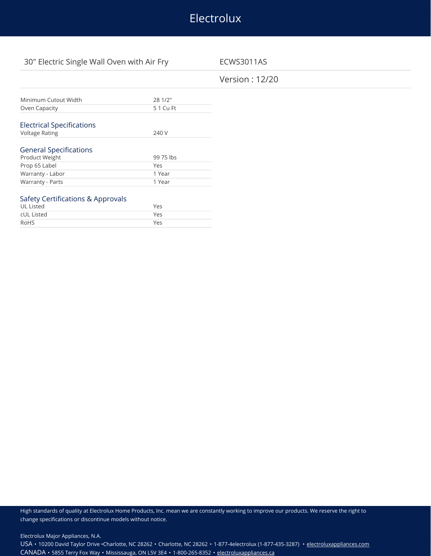## Electrolux

## 30" Electric Single Wall Oven with Air Fry ECWS3011AS

## Version : 12/20

| Minimum Cutout Width             | 28 1/2"   |
|----------------------------------|-----------|
| Oven Capacity                    | 5 1 Cu Ft |
|                                  |           |
| <b>Electrical Specifications</b> |           |
| <b>Voltage Rating</b>            | 240 V     |
|                                  |           |
| <b>General Specifications</b>    |           |
| Product Weight                   | 99 75 lbs |
| Prop 65 Label                    | Yes       |
| Warranty - Labor                 | 1 Year    |
| Warranty - Parts                 | 1 Year    |
|                                  |           |

#### Safety Certifications & Approvals

| UL Listed  | Yes |
|------------|-----|
| cUL Listed | Yes |
| RoHS       | Yes |

High standards of quality at Electrolux Home Products, Inc. mean we are constantly working to improve our products. We reserve the right to change specifications or discontinue models without notice.

Electrolux Major Appliances, N.A.

USA • 10200 David Taylor Drive •Charlotte, NC 28262 • Charlotte, NC 28262 • 1-877-4electrolux (1-877-435-3287) • [electroluxappliances.com](http://electroluxappliances.com) CANADA • 5855 Terry Fox Way • Mississauga, ON L5V 3E4 • 1-800-265-8352 • [electroluxappliances.ca](http://electroluxappliances.ca)